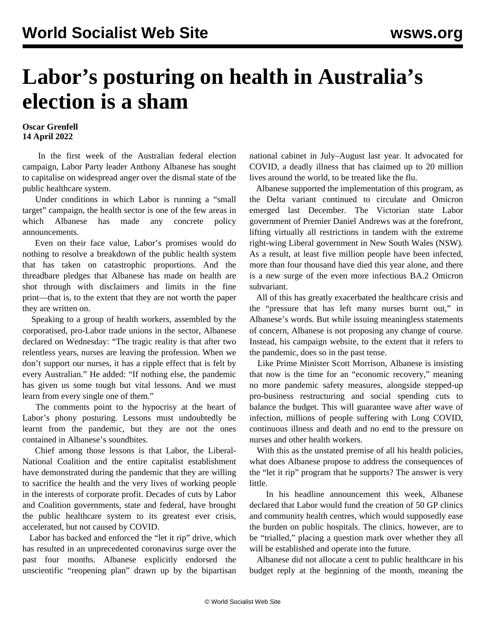## **Labor's posturing on health in Australia's election is a sham**

## **Oscar Grenfell 14 April 2022**

 In the first week of the Australian federal election campaign, Labor Party leader Anthony Albanese has sought to capitalise on widespread anger over the dismal state of the public healthcare system.

 Under conditions in which Labor is running a "small target" campaign, the health sector is one of the few areas in which Albanese has made any concrete policy announcements.

 Even on their face value, Labor's promises would do nothing to resolve a breakdown of the public health system that has taken on catastrophic proportions. And the threadbare pledges that Albanese has made on health are shot through with disclaimers and limits in the fine print—that is, to the extent that they are not worth the paper they are written on.

 Speaking to a group of health workers, assembled by the corporatised, pro-Labor trade unions in the sector, Albanese declared on Wednesday: "The tragic reality is that after two relentless years, nurses are leaving the profession. When we don't support our nurses, it has a ripple effect that is felt by every Australian." He added: "If nothing else, the pandemic has given us some tough but vital lessons. And we must learn from every single one of them."

 The comments point to the hypocrisy at the heart of Labor's phony posturing. Lessons must undoubtedly be learnt from the pandemic, but they are not the ones contained in Albanese's soundbites.

 Chief among those lessons is that Labor, the Liberal-National Coalition and the entire capitalist establishment have demonstrated during the pandemic that they are willing to sacrifice the health and the very lives of working people in the interests of corporate profit. Decades of cuts by Labor and Coalition governments, state and federal, have brought the public healthcare system to its greatest ever crisis, accelerated, but not caused by COVID.

 Labor has backed and enforced the "let it rip" drive, which has resulted in an unprecedented coronavirus surge over the past four months. Albanese explicitly endorsed the unscientific "reopening plan" drawn up by the bipartisan national cabinet in July–August last year. It advocated for COVID, a deadly illness that has claimed up to 20 million lives around the world, to be treated like the flu.

 Albanese supported the implementation of this program, as the Delta variant continued to circulate and Omicron emerged last December. The Victorian state Labor government of Premier Daniel Andrews was at the forefront, lifting virtually all restrictions in tandem with the extreme right-wing Liberal government in New South Wales (NSW). As a result, at least five million people have been infected, more than four thousand have died this year alone, and there is a new surge of the even more infectious BA.2 Omicron subvariant.

 All of this has greatly exacerbated the healthcare crisis and the "pressure that has left many nurses burnt out," in Albanese's words. But while issuing meaningless statements of concern, Albanese is not proposing any change of course. Instead, his campaign website, to the extent that it refers to the pandemic, does so in the past tense.

 Like Prime Minister Scott Morrison, Albanese is insisting that now is the time for an "economic recovery," meaning no more pandemic safety measures, alongside stepped-up pro-business restructuring and social spending cuts to balance the budget. This will guarantee wave after wave of infection, millions of people suffering with Long COVID, continuous illness and death and no end to the pressure on nurses and other health workers.

With this as the unstated premise of all his health policies, what does Albanese propose to address the consequences of the "let it rip" program that he supports? The answer is very little.

 In his headline announcement this week, Albanese declared that Labor would fund the creation of 50 GP clinics and community health centres, which would supposedly ease the burden on public hospitals. The clinics, however, are to be "trialled," placing a question mark over whether they all will be established and operate into the future.

 Albanese did not allocate a cent to public healthcare in his budget reply at the beginning of the month, meaning the